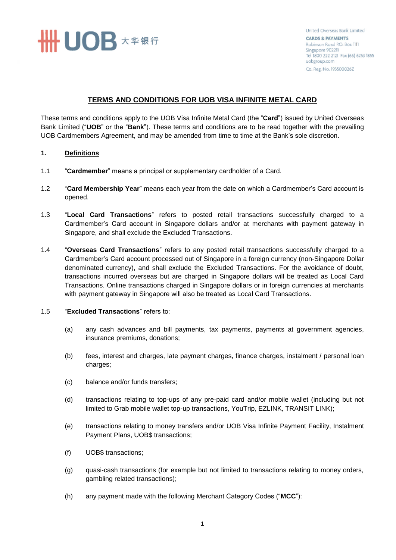**# UOB** ★ <sub>车银行</sub>

United Overseas Bank Limited **CARDS & PAYMENTS** Robinson Road P.O. Box 1111 Singapore 902211 Tel 1800 222 2121 Fax (65) 6253 1855 uobgroup.com Co. Reg. No. 193500026Z

## **TERMS AND CONDITIONS FOR UOB VISA INFINITE METAL CARD**

These terms and conditions apply to the UOB Visa Infinite Metal Card (the "**Card**") issued by United Overseas Bank Limited ("**UOB**" or the "**Bank**"). These terms and conditions are to be read together with the prevailing UOB Cardmembers Agreement, and may be amended from time to time at the Bank's sole discretion.

## **1. Definitions**

- 1.1 "**Cardmember**" means a principal or supplementary cardholder of a Card.
- 1.2 "**Card Membership Year**" means each year from the date on which a Cardmember's Card account is opened.
- 1.3 "**Local Card Transactions**" refers to posted retail transactions successfully charged to a Cardmember's Card account in Singapore dollars and/or at merchants with payment gateway in Singapore, and shall exclude the Excluded Transactions.
- 1.4 "**Overseas Card Transactions**" refers to any posted retail transactions successfully charged to a Cardmember's Card account processed out of Singapore in a foreign currency (non-Singapore Dollar denominated currency), and shall exclude the Excluded Transactions. For the avoidance of doubt, transactions incurred overseas but are charged in Singapore dollars will be treated as Local Card Transactions. Online transactions charged in Singapore dollars or in foreign currencies at merchants with payment gateway in Singapore will also be treated as Local Card Transactions.

## 1.5 "**Excluded Transactions**" refers to:

- (a) any cash advances and bill payments, tax payments, payments at government agencies, insurance premiums, donations;
- (b) fees, interest and charges, late payment charges, finance charges, instalment / personal loan charges;
- (c) balance and/or funds transfers;
- (d) transactions relating to top-ups of any pre-paid card and/or mobile wallet (including but not limited to Grab mobile wallet top-up transactions, YouTrip, EZLINK, TRANSIT LINK);
- (e) transactions relating to money transfers and/or UOB Visa Infinite Payment Facility, Instalment Payment Plans, UOB\$ transactions;
- (f) UOB\$ transactions;
- (g) quasi-cash transactions (for example but not limited to transactions relating to money orders, gambling related transactions);
- (h) any payment made with the following Merchant Category Codes ("**MCC**"):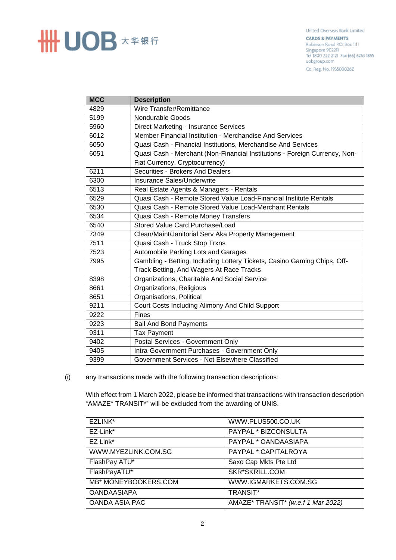

United Overseas Bank Limited **CARDS & PAYMENTS** Robinson Road P.O. Box 1111 Singapore 902211 Tel 1800 222 2121 Fax (65) 6253 1855 uobgroup.com Co. Reg. No. 193500026Z

| <b>MCC</b> | <b>Description</b>                                                         |
|------------|----------------------------------------------------------------------------|
| 4829       | Wire Transfer/Remittance                                                   |
| 5199       | <b>Nondurable Goods</b>                                                    |
| 5960       | Direct Marketing - Insurance Services                                      |
| 6012       | Member Financial Institution - Merchandise And Services                    |
| 6050       | Quasi Cash - Financial Institutions, Merchandise And Services              |
| 6051       | Quasi Cash - Merchant (Non-Financial Institutions - Foreign Currency, Non- |
|            | Fiat Currency, Cryptocurrency)                                             |
| 6211       | Securities - Brokers And Dealers                                           |
| 6300       | Insurance Sales/Underwrite                                                 |
| 6513       | Real Estate Agents & Managers - Rentals                                    |
| 6529       | Quasi Cash - Remote Stored Value Load-Financial Institute Rentals          |
| 6530       | Quasi Cash - Remote Stored Value Load-Merchant Rentals                     |
| 6534       | Quasi Cash - Remote Money Transfers                                        |
| 6540       | Stored Value Card Purchase/Load                                            |
| 7349       | Clean/Maint/Janitorial Serv Aka Property Management                        |
| 7511       | Quasi Cash - Truck Stop Trxns                                              |
| 7523       | Automobile Parking Lots and Garages                                        |
| 7995       | Gambling - Betting, Including Lottery Tickets, Casino Gaming Chips, Off-   |
|            | Track Betting, And Wagers At Race Tracks                                   |
| 8398       | Organizations, Charitable And Social Service                               |
| 8661       | Organizations, Religious                                                   |
| 8651       | Organisations, Political                                                   |
| 9211       | Court Costs Including Alimony And Child Support                            |
| 9222       | <b>Fines</b>                                                               |
| 9223       | <b>Bail And Bond Payments</b>                                              |
| 9311       | <b>Tax Payment</b>                                                         |
| 9402       | Postal Services - Government Only                                          |
| 9405       | Intra-Government Purchases - Government Only                               |
| 9399       | Government Services - Not Elsewhere Classified                             |

(i) any transactions made with the following transaction descriptions:

With effect from 1 March 2022, please be informed that transactions with transaction description "AMAZE\* TRANSIT\*" will be excluded from the awarding of UNI\$.

| EZLINK*              | WWW.PLUS500.CO.UK                  |
|----------------------|------------------------------------|
| EZ-Link*             | PAYPAL * BIZCONSULTA               |
| EZ Link*             | PAYPAL * OANDAASIAPA               |
| WWW.MYEZLINK.COM.SG  | PAYPAL * CAPITALROYA               |
| FlashPay ATU*        | Saxo Cap Mkts Pte Ltd              |
| FlashPayATU*         | SKR*SKRILL.COM                     |
| MB* MONEYBOOKERS.COM | WWW.IGMARKETS.COM.SG               |
| <b>OANDAASIAPA</b>   | <b>TRANSIT*</b>                    |
| OANDA ASIA PAC       | AMAZE* TRANSIT* (w.e.f 1 Mar 2022) |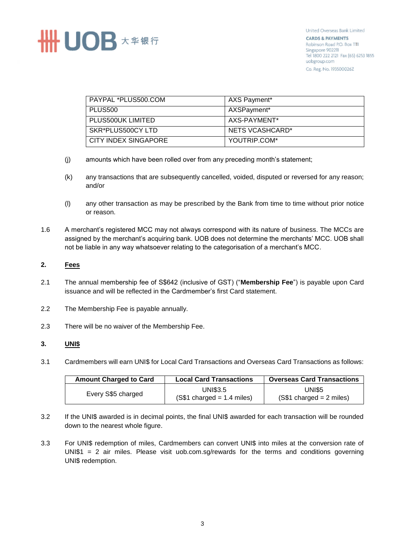

| PAYPAL *PLUS500.COM  | AXS Payment*    |
|----------------------|-----------------|
| PLUS500              | AXSPayment*     |
| PLUS500UK LIMITED    | AXS-PAYMENT*    |
| SKR*PLUS500CY LTD    | NETS VCASHCARD* |
| CITY INDEX SINGAPORE | YOUTRIP.COM*    |

- (j) amounts which have been rolled over from any preceding month's statement;
- (k) any transactions that are subsequently cancelled, voided, disputed or reversed for any reason; and/or
- (l) any other transaction as may be prescribed by the Bank from time to time without prior notice or reason.
- 1.6 A merchant's registered MCC may not always correspond with its nature of business. The MCCs are assigned by the merchant's acquiring bank. UOB does not determine the merchants' MCC. UOB shall not be liable in any way whatsoever relating to the categorisation of a merchant's MCC.

#### **2. Fees**

- 2.1 The annual membership fee of S\$642 (inclusive of GST) ("**Membership Fee**") is payable upon Card issuance and will be reflected in the Cardmember's first Card statement.
- 2.2 The Membership Fee is payable annually.
- 2.3 There will be no waiver of the Membership Fee.

#### **3. UNI\$**

3.1 Cardmembers will earn UNI\$ for Local Card Transactions and Overseas Card Transactions as follows:

| <b>Amount Charged to Card</b> | <b>Local Card Transactions</b>                 | <b>Overseas Card Transactions</b>         |
|-------------------------------|------------------------------------------------|-------------------------------------------|
| Every S\$5 charged            | <b>UNI\$3.5</b><br>$(S$1 charged = 1.4 miles)$ | <b>UNIS5</b><br>$(S$1 charged = 2 miles)$ |

- 3.2 If the UNI\$ awarded is in decimal points, the final UNI\$ awarded for each transaction will be rounded down to the nearest whole figure.
- 3.3 For UNI\$ redemption of miles, Cardmembers can convert UNI\$ into miles at the conversion rate of UNI\$1 = 2 air miles. Please visit uob.com.sg/rewards for the terms and conditions governing UNI\$ redemption.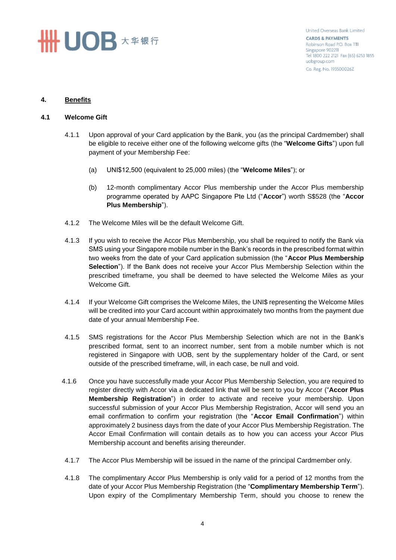# **SHHUOB** ★ # 银行

United Overseas Bank Limited **CARDS & PAYMENTS** Robinson Road P.O. Box 1111 Singapore 902211 Tel 1800 222 2121 Fax (65) 6253 1855 uobgroup.com Co. Reg. No. 193500026Z

## **4. Benefits**

#### **4.1 Welcome Gift**

- 4.1.1 Upon approval of your Card application by the Bank, you (as the principal Cardmember) shall be eligible to receive either one of the following welcome gifts (the "**Welcome Gifts**") upon full payment of your Membership Fee:
	- (a) UNI\$12,500 (equivalent to 25,000 miles) (the "**Welcome Miles**"); or
	- (b) 12-month complimentary Accor Plus membership under the Accor Plus membership programme operated by AAPC Singapore Pte Ltd ("**Accor**") worth S\$528 (the "**Accor Plus Membership**").
- 4.1.2 The Welcome Miles will be the default Welcome Gift.
- 4.1.3 If you wish to receive the Accor Plus Membership, you shall be required to notify the Bank via SMS using your Singapore mobile number in the Bank's records in the prescribed format within two weeks from the date of your Card application submission (the "**Accor Plus Membership Selection**"). If the Bank does not receive your Accor Plus Membership Selection within the prescribed timeframe, you shall be deemed to have selected the Welcome Miles as your Welcome Gift.
- 4.1.4 If your Welcome Gift comprises the Welcome Miles, the UNI\$ representing the Welcome Miles will be credited into your Card account within approximately two months from the payment due date of your annual Membership Fee.
- 4.1.5 SMS registrations for the Accor Plus Membership Selection which are not in the Bank's prescribed format, sent to an incorrect number, sent from a mobile number which is not registered in Singapore with UOB, sent by the supplementary holder of the Card, or sent outside of the prescribed timeframe, will, in each case, be null and void.
- 4.1.6 Once you have successfully made your Accor Plus Membership Selection, you are required to register directly with Accor via a dedicated link that will be sent to you by Accor ("**Accor Plus Membership Registration**") in order to activate and receive your membership. Upon successful submission of your Accor Plus Membership Registration, Accor will send you an email confirmation to confirm your registration (the "**Accor Email Confirmation**") within approximately 2 business days from the date of your Accor Plus Membership Registration. The Accor Email Confirmation will contain details as to how you can access your Accor Plus Membership account and benefits arising thereunder.
- 4.1.7 The Accor Plus Membership will be issued in the name of the principal Cardmember only.
- 4.1.8 The complimentary Accor Plus Membership is only valid for a period of 12 months from the date of your Accor Plus Membership Registration (the "**Complimentary Membership Term**"). Upon expiry of the Complimentary Membership Term, should you choose to renew the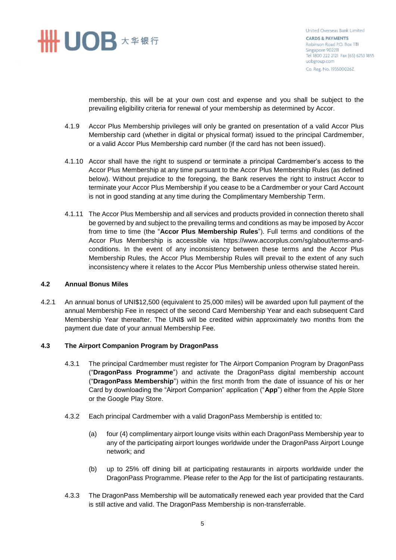

United Overseas Bank Limited **CARDS & PAYMENTS** Robinson Road P.O. Box 1111 Singapore 902211 Tel 1800 222 2121 Fax (65) 6253 1855 uobgroup.com Co. Reg. No. 193500026Z

membership, this will be at your own cost and expense and you shall be subject to the prevailing eligibility criteria for renewal of your membership as determined by Accor.

- 4.1.9 Accor Plus Membership privileges will only be granted on presentation of a valid Accor Plus Membership card (whether in digital or physical format) issued to the principal Cardmember, or a valid Accor Plus Membership card number (if the card has not been issued).
- 4.1.10 Accor shall have the right to suspend or terminate a principal Cardmember's access to the Accor Plus Membership at any time pursuant to the Accor Plus Membership Rules (as defined below). Without prejudice to the foregoing, the Bank reserves the right to instruct Accor to terminate your Accor Plus Membership if you cease to be a Cardmember or your Card Account is not in good standing at any time during the Complimentary Membership Term.
- 4.1.11 The Accor Plus Membership and all services and products provided in connection thereto shall be governed by and subject to the prevailing terms and conditions as may be imposed by Accor from time to time (the "**Accor Plus Membership Rules**"). Full terms and conditions of the Accor Plus Membership is accessible via https://www.accorplus.com/sg/about/terms-andconditions. In the event of any inconsistency between these terms and the Accor Plus Membership Rules, the Accor Plus Membership Rules will prevail to the extent of any such inconsistency where it relates to the Accor Plus Membership unless otherwise stated herein.

#### **4.2 Annual Bonus Miles**

4.2.1 An annual bonus of UNI\$12,500 (equivalent to 25,000 miles) will be awarded upon full payment of the annual Membership Fee in respect of the second Card Membership Year and each subsequent Card Membership Year thereafter. The UNI\$ will be credited within approximately two months from the payment due date of your annual Membership Fee.

## **4.3 The Airport Companion Program by DragonPass**

- 4.3.1 The principal Cardmember must register for The Airport Companion Program by DragonPass ("**DragonPass Programme**") and activate the DragonPass digital membership account ("**DragonPass Membership**") within the first month from the date of issuance of his or her Card by downloading the "Airport Companion" application ("**App**") either from the Apple Store or the Google Play Store.
- 4.3.2 Each principal Cardmember with a valid DragonPass Membership is entitled to:
	- (a) four (4) complimentary airport lounge visits within each DragonPass Membership year to any of the participating airport lounges worldwide under the DragonPass Airport Lounge network; and
	- (b) up to 25% off dining bill at participating restaurants in airports worldwide under the DragonPass Programme. Please refer to the App for the list of participating restaurants.
- 4.3.3 The DragonPass Membership will be automatically renewed each year provided that the Card is still active and valid. The DragonPass Membership is non-transferrable.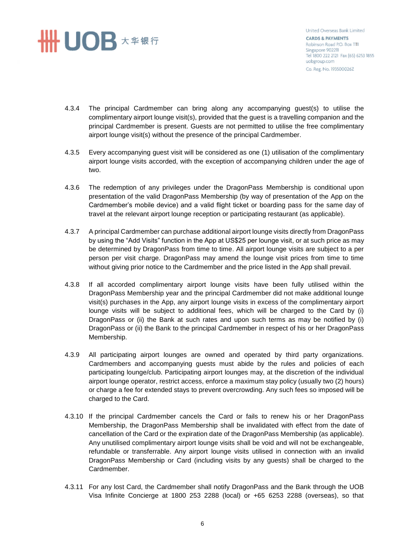## **# UOB** ★ <sub>车银行</sub>

United Overseas Bank Limited **CARDS & PAYMENTS** Robinson Road P.O. Box 1111 Singapore 902211 Tel 1800 222 2121 Fax (65) 6253 1855 uobgroup.com Co. Reg. No. 193500026Z

- 4.3.4 The principal Cardmember can bring along any accompanying guest(s) to utilise the complimentary airport lounge visit(s), provided that the guest is a travelling companion and the principal Cardmember is present. Guests are not permitted to utilise the free complimentary airport lounge visit(s) without the presence of the principal Cardmember.
- 4.3.5 Every accompanying guest visit will be considered as one (1) utilisation of the complimentary airport lounge visits accorded, with the exception of accompanying children under the age of two.
- 4.3.6 The redemption of any privileges under the DragonPass Membership is conditional upon presentation of the valid DragonPass Membership (by way of presentation of the App on the Cardmember's mobile device) and a valid flight ticket or boarding pass for the same day of travel at the relevant airport lounge reception or participating restaurant (as applicable).
- 4.3.7 A principal Cardmember can purchase additional airport lounge visits directly from DragonPass by using the "Add Visits" function in the App at US\$25 per lounge visit, or at such price as may be determined by DragonPass from time to time. All airport lounge visits are subject to a per person per visit charge. DragonPass may amend the lounge visit prices from time to time without giving prior notice to the Cardmember and the price listed in the App shall prevail.
- 4.3.8 If all accorded complimentary airport lounge visits have been fully utilised within the DragonPass Membership year and the principal Cardmember did not make additional lounge visit(s) purchases in the App, any airport lounge visits in excess of the complimentary airport lounge visits will be subject to additional fees, which will be charged to the Card by (i) DragonPass or (ii) the Bank at such rates and upon such terms as may be notified by (i) DragonPass or (ii) the Bank to the principal Cardmember in respect of his or her DragonPass Membership.
- 4.3.9 All participating airport lounges are owned and operated by third party organizations. Cardmembers and accompanying guests must abide by the rules and policies of each participating lounge/club. Participating airport lounges may, at the discretion of the individual airport lounge operator, restrict access, enforce a maximum stay policy (usually two (2) hours) or charge a fee for extended stays to prevent overcrowding. Any such fees so imposed will be charged to the Card.
- 4.3.10 If the principal Cardmember cancels the Card or fails to renew his or her DragonPass Membership, the DragonPass Membership shall be invalidated with effect from the date of cancellation of the Card or the expiration date of the DragonPass Membership (as applicable). Any unutilised complimentary airport lounge visits shall be void and will not be exchangeable, refundable or transferrable. Any airport lounge visits utilised in connection with an invalid DragonPass Membership or Card (including visits by any guests) shall be charged to the Cardmember.
- 4.3.11 For any lost Card, the Cardmember shall notify DragonPass and the Bank through the UOB Visa Infinite Concierge at 1800 253 2288 (local) or +65 6253 2288 (overseas), so that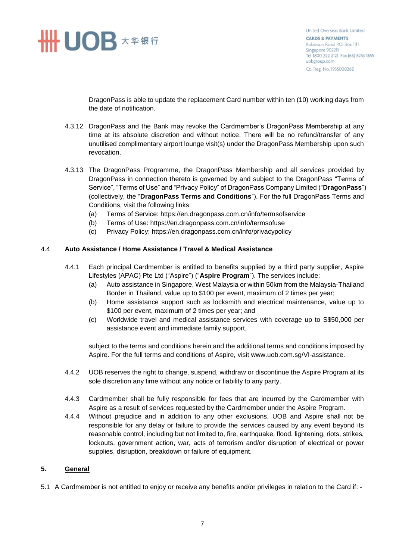

DragonPass is able to update the replacement Card number within ten (10) working days from the date of notification.

- 4.3.12 DragonPass and the Bank may revoke the Cardmember's DragonPass Membership at any time at its absolute discretion and without notice. There will be no refund/transfer of any unutilised complimentary airport lounge visit(s) under the DragonPass Membership upon such revocation.
- 4.3.13 The DragonPass Programme, the DragonPass Membership and all services provided by DragonPass in connection thereto is governed by and subject to the DragonPass "Terms of Service", "Terms of Use" and "Privacy Policy" of DragonPass Company Limited ("**DragonPass**") (collectively, the "**DragonPass Terms and Conditions**"). For the full DragonPass Terms and Conditions, visit the following links:
	- (a) Terms of Service: https://en.dragonpass.com.cn/info/termsofservice
	- (b) Terms of Use: https://en.dragonpass.com.cn/info/termsofuse
	- (c) Privacy Policy: https://en.dragonpass.com.cn/info/privacypolicy

#### 4.4 **Auto Assistance / Home Assistance / Travel & Medical Assistance**

- 4.4.1 Each principal Cardmember is entitled to benefits supplied by a third party supplier, Aspire Lifestyles (APAC) Pte Ltd ("Aspire") ("**Aspire Program**"). The services include:
	- (a) Auto assistance in Singapore, West Malaysia or within 50km from the Malaysia-Thailand Border in Thailand, value up to \$100 per event, maximum of 2 times per year;
	- (b) Home assistance support such as locksmith and electrical maintenance, value up to \$100 per event, maximum of 2 times per year; and
	- (c) Worldwide travel and medical assistance services with coverage up to S\$50,000 per assistance event and immediate family support,

subject to the terms and conditions herein and the additional terms and conditions imposed by Aspire. For the full terms and conditions of Aspire, visit www.uob.com.sg/VI-assistance.

- 4.4.2 UOB reserves the right to change, suspend, withdraw or discontinue the Aspire Program at its sole discretion any time without any notice or liability to any party.
- 4.4.3 Cardmember shall be fully responsible for fees that are incurred by the Cardmember with Aspire as a result of services requested by the Cardmember under the Aspire Program.
- 4.4.4 Without prejudice and in addition to any other exclusions, UOB and Aspire shall not be responsible for any delay or failure to provide the services caused by any event beyond its reasonable control, including but not limited to, fire, earthquake, flood, lightening, riots, strikes, lockouts, government action, war, acts of terrorism and/or disruption of electrical or power supplies, disruption, breakdown or failure of equipment.

#### **5. General**

5.1 A Cardmember is not entitled to enjoy or receive any benefits and/or privileges in relation to the Card if: -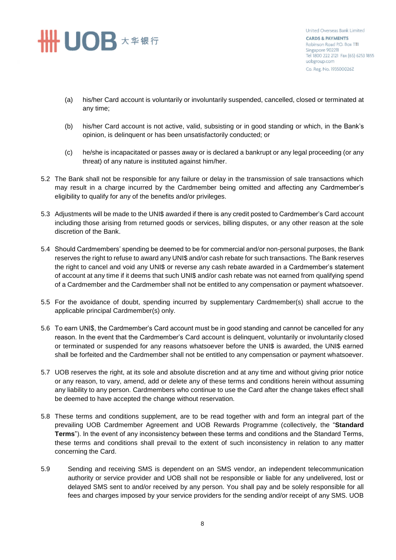# **SHINDB** ★ # # #

United Overseas Bank Limited **CARDS & PAYMENTS** Robinson Road P.O. Box 1111 Singapore 902211 Tel 1800 222 2121 Fax (65) 6253 1855 uobgroup.com Co. Reg. No. 193500026Z

- (a) his/her Card account is voluntarily or involuntarily suspended, cancelled, closed or terminated at any time;
- (b) his/her Card account is not active, valid, subsisting or in good standing or which, in the Bank's opinion, is delinquent or has been unsatisfactorily conducted; or
- (c) he/she is incapacitated or passes away or is declared a bankrupt or any legal proceeding (or any threat) of any nature is instituted against him/her.
- 5.2 The Bank shall not be responsible for any failure or delay in the transmission of sale transactions which may result in a charge incurred by the Cardmember being omitted and affecting any Cardmember's eligibility to qualify for any of the benefits and/or privileges.
- 5.3 Adjustments will be made to the UNI\$ awarded if there is any credit posted to Cardmember's Card account including those arising from returned goods or services, billing disputes, or any other reason at the sole discretion of the Bank.
- 5.4 Should Cardmembers' spending be deemed to be for commercial and/or non-personal purposes, the Bank reserves the right to refuse to award any UNI\$ and/or cash rebate for such transactions. The Bank reserves the right to cancel and void any UNI\$ or reverse any cash rebate awarded in a Cardmember's statement of account at any time if it deems that such UNI\$ and/or cash rebate was not earned from qualifying spend of a Cardmember and the Cardmember shall not be entitled to any compensation or payment whatsoever.
- 5.5 For the avoidance of doubt, spending incurred by supplementary Cardmember(s) shall accrue to the applicable principal Cardmember(s) only.
- 5.6 To earn UNI\$, the Cardmember's Card account must be in good standing and cannot be cancelled for any reason. In the event that the Cardmember's Card account is delinquent, voluntarily or involuntarily closed or terminated or suspended for any reasons whatsoever before the UNI\$ is awarded, the UNI\$ earned shall be forfeited and the Cardmember shall not be entitled to any compensation or payment whatsoever.
- 5.7 UOB reserves the right, at its sole and absolute discretion and at any time and without giving prior notice or any reason, to vary, amend, add or delete any of these terms and conditions herein without assuming any liability to any person. Cardmembers who continue to use the Card after the change takes effect shall be deemed to have accepted the change without reservation.
- 5.8 These terms and conditions supplement, are to be read together with and form an integral part of the prevailing UOB Cardmember Agreement and UOB Rewards Programme (collectively, the "**Standard Terms**"). In the event of any inconsistency between these terms and conditions and the Standard Terms, these terms and conditions shall prevail to the extent of such inconsistency in relation to any matter concerning the Card.
- 5.9 Sending and receiving SMS is dependent on an SMS vendor, an independent telecommunication authority or service provider and UOB shall not be responsible or liable for any undelivered, lost or delayed SMS sent to and/or received by any person. You shall pay and be solely responsible for all fees and charges imposed by your service providers for the sending and/or receipt of any SMS. UOB